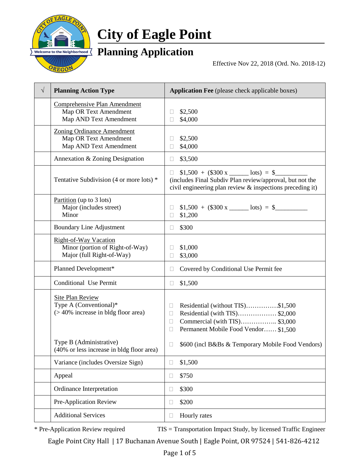

# **City of Eagle Point**

## **Planning Application**

Effective Nov 22, 2018 (Ord. No. 2018-12)

| $\sqrt{}$ | <b>Planning Action Type</b>                                                                                            | <b>Application Fee</b> (please check applicable boxes)                                                                                                              |  |
|-----------|------------------------------------------------------------------------------------------------------------------------|---------------------------------------------------------------------------------------------------------------------------------------------------------------------|--|
|           | Comprehensive Plan Amendment<br>Map OR Text Amendment<br>Map AND Text Amendment                                        | \$2,500<br>\$4,000                                                                                                                                                  |  |
|           | <b>Zoning Ordinance Amendment</b><br>Map OR Text Amendment<br>Map AND Text Amendment                                   | \$2,500<br>\$4,000                                                                                                                                                  |  |
|           | Annexation & Zoning Designation                                                                                        | \$3,500<br>u                                                                                                                                                        |  |
|           | Tentative Subdivision (4 or more lots) *                                                                               | $$1,500 + ($300 x \_$ lots) = \$<br>Н<br>(includes Final Subdiv Plan review/approval, but not the<br>civil engineering plan review & inspections preceding it)      |  |
|           | Partition (up to $3$ lots)<br>Major (includes street)<br>Minor                                                         | $$1,500 + ($300 x \_ \text{bits}) = $$<br>\$1,200<br>П                                                                                                              |  |
|           | <b>Boundary Line Adjustment</b>                                                                                        | \$300<br>Н                                                                                                                                                          |  |
|           | Right-of-Way Vacation<br>Minor (portion of Right-of-Way)<br>Major (full Right-of-Way)                                  | \$1,000<br>\$3,000                                                                                                                                                  |  |
|           | Planned Development*                                                                                                   | Covered by Conditional Use Permit fee<br>П                                                                                                                          |  |
|           | Conditional Use Permit                                                                                                 | \$1,500<br>$\Box$                                                                                                                                                   |  |
|           | <b>Site Plan Review</b><br>Type A (Conventional)*<br>$($ > 40% increase in bldg floor area)<br>Type B (Administrative) | Residential (without TIS)\$1,500<br>Ш<br>Residential (with TIS)\$2,000<br>$\Box$<br>Commercial (with TIS) \$3,000<br>□<br>Permanent Mobile Food Vendor \$1,500<br>Ω |  |
|           | (40% or less increase in bldg floor area)                                                                              | \$600 (incl B&Bs & Temporary Mobile Food Vendors)                                                                                                                   |  |
|           | Variance (includes Oversize Sign)                                                                                      | \$1,500<br>$\Box$                                                                                                                                                   |  |
|           | Appeal                                                                                                                 | \$750<br>Ш                                                                                                                                                          |  |
|           | Ordinance Interpretation                                                                                               | \$300<br>$\Box$                                                                                                                                                     |  |
|           | Pre-Application Review                                                                                                 | \$200<br>$\Box$                                                                                                                                                     |  |
|           | <b>Additional Services</b>                                                                                             | Hourly rates<br>$\Box$                                                                                                                                              |  |

\* Pre-Application Review required TIS = Transportation Impact Study, by licensed Traffic Engineer

Eagle Point City Hall | 17 Buchanan Avenue South | Eagle Point, OR 97524 | 541-826-4212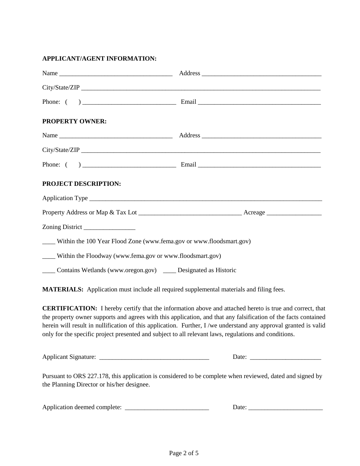#### **APPLICANT/AGENT INFORMATION:**

| <b>PROPERTY OWNER:</b>                                                  |  |
|-------------------------------------------------------------------------|--|
|                                                                         |  |
|                                                                         |  |
|                                                                         |  |
| PROJECT DESCRIPTION:                                                    |  |
|                                                                         |  |
|                                                                         |  |
|                                                                         |  |
| ___ Within the 100 Year Flood Zone (www.fema.gov or www.floodsmart.gov) |  |
| ____ Within the Floodway (www.fema.gov or www.floodsmart.gov)           |  |
| ____ Contains Wetlands (www.oregon.gov) _____ Designated as Historic    |  |

**MATERIALS:** Application must include all required supplemental materials and filing fees.

**CERTIFICATION:** I hereby certify that the information above and attached hereto is true and correct, that the property owner supports and agrees with this application, and that any falsification of the facts contained herein will result in nullification of this application. Further, I /we understand any approval granted is valid only for the specific project presented and subject to all relevant laws, regulations and conditions.

Applicant Signature: <br>  $\Box$  Date:  $\Box$ 

Pursuant to ORS 227.178, this application is considered to be complete when reviewed, dated and signed by the Planning Director or his/her designee.

| Application deemed complete: |  |
|------------------------------|--|
|------------------------------|--|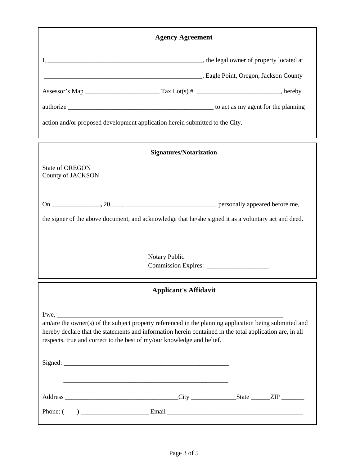|                                             | <b>Agency Agreement</b>                                                                                                                                                                                                                                                                      |  |
|---------------------------------------------|----------------------------------------------------------------------------------------------------------------------------------------------------------------------------------------------------------------------------------------------------------------------------------------------|--|
|                                             |                                                                                                                                                                                                                                                                                              |  |
|                                             | Languardian County (Eagle Point, Oregon, Jackson County                                                                                                                                                                                                                                      |  |
|                                             |                                                                                                                                                                                                                                                                                              |  |
|                                             |                                                                                                                                                                                                                                                                                              |  |
|                                             | action and/or proposed development application herein submitted to the City.                                                                                                                                                                                                                 |  |
|                                             | <b>Signatures/Notarization</b>                                                                                                                                                                                                                                                               |  |
| <b>State of OREGON</b><br>County of JACKSON |                                                                                                                                                                                                                                                                                              |  |
|                                             |                                                                                                                                                                                                                                                                                              |  |
|                                             | the signer of the above document, and acknowledge that he/she signed it as a voluntary act and deed.                                                                                                                                                                                         |  |
|                                             |                                                                                                                                                                                                                                                                                              |  |
|                                             | Notary Public                                                                                                                                                                                                                                                                                |  |
|                                             |                                                                                                                                                                                                                                                                                              |  |
|                                             | <b>Applicant's Affidavit</b>                                                                                                                                                                                                                                                                 |  |
|                                             |                                                                                                                                                                                                                                                                                              |  |
|                                             | am/are the owner(s) of the subject property referenced in the planning application being submitted and<br>hereby declare that the statements and information herein contained in the total application are, in all<br>respects, true and correct to the best of my/our knowledge and belief. |  |
|                                             |                                                                                                                                                                                                                                                                                              |  |
|                                             |                                                                                                                                                                                                                                                                                              |  |
|                                             |                                                                                                                                                                                                                                                                                              |  |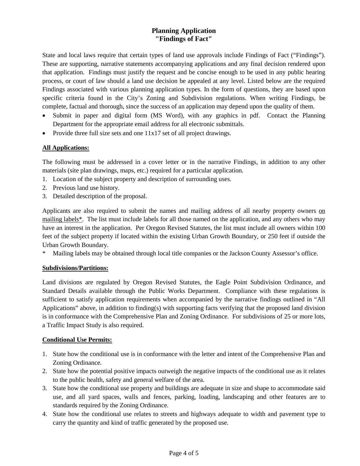### **Planning Application "Findings of Fact"**

State and local laws require that certain types of land use approvals include Findings of Fact ("Findings"). These are supporting, narrative statements accompanying applications and any final decision rendered upon that application. Findings must justify the request and be concise enough to be used in any public hearing process, or court of law should a land use decision be appealed at any level. Listed below are the required Findings associated with various planning application types. In the form of questions, they are based upon specific criteria found in the City's Zoning and Subdivision regulations. When writing Findings, be complete, factual and thorough, since the success of an application may depend upon the quality of them.

- Submit in paper and digital form (MS Word), with any graphics in pdf. Contact the Planning Department for the appropriate email address for all electronic submittals.
- Provide three full size sets and one 11x17 set of all project drawings.

#### **All Applications:**

The following must be addressed in a cover letter or in the narrative Findings, in addition to any other materials (site plan drawings, maps, etc.) required for a particular application.

- 1. Location of the subject property and description of surrounding uses.
- 2. Previous land use history.
- 3. Detailed description of the proposal.

Applicants are also required to submit the names and mailing address of all nearby property owners on mailing labels\*. The list must include labels for all those named on the application, and any others who may have an interest in the application. Per Oregon Revised Statutes, the list must include all owners within 100 feet of the subject property if located within the existing Urban Growth Boundary, or 250 feet if outside the Urban Growth Boundary.

Mailing labels may be obtained through local title companies or the Jackson County Assessor's office.

#### **Subdivisions/Partitions:**

Land divisions are regulated by Oregon Revised Statutes, the Eagle Point Subdivision Ordinance, and Standard Details available through the Public Works Department. Compliance with these regulations is sufficient to satisfy application requirements when accompanied by the narrative findings outlined in "All Applications" above, in addition to finding(s) with supporting facts verifying that the proposed land division is in conformance with the Comprehensive Plan and Zoning Ordinance. For subdivisions of 25 or more lots, a Traffic Impact Study is also required.

#### **Conditional Use Permits:**

- 1. State how the conditional use is in conformance with the letter and intent of the Comprehensive Plan and Zoning Ordinance.
- 2. State how the potential positive impacts outweigh the negative impacts of the conditional use as it relates to the public health, safety and general welfare of the area.
- 3. State how the conditional use property and buildings are adequate in size and shape to accommodate said use, and all yard spaces, walls and fences, parking, loading, landscaping and other features are to standards required by the Zoning Ordinance.
- 4. State how the conditional use relates to streets and highways adequate to width and pavement type to carry the quantity and kind of traffic generated by the proposed use.